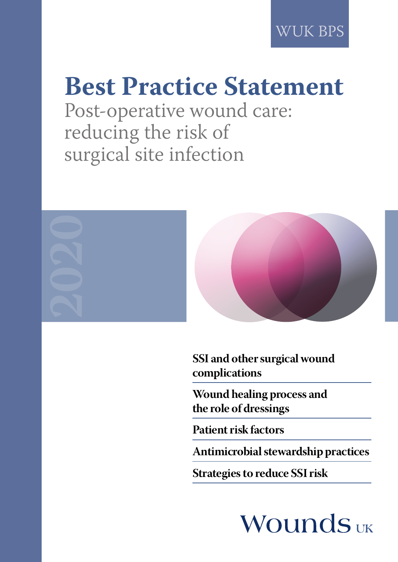WUK BPS

# **Best Practice Statement**

Post-operative wound care: reducing the risk of surgical site infection



**SSI and other surgical wound complications**

**Wound healing process and the role of dressings**

**Patient risk factors**

**Antimicrobial stewardship practices**

**Strategies to reduce SSI risk**

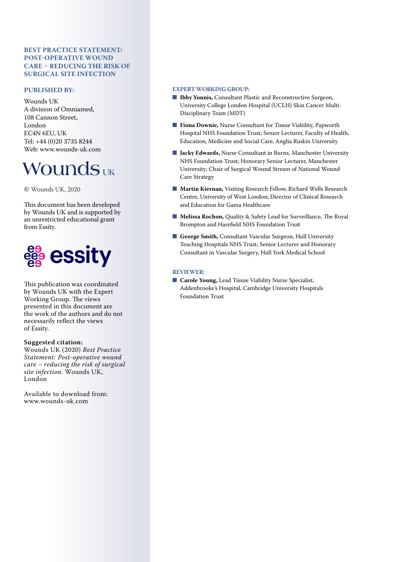#### **BEST PRACTICE STATEMENT: POST-OPERATIVE WOUND CARE – REDUCING THE RISK OF SURGICAL SITE INFECTION**

#### **PUBLISHED BY:**

Wounds UK A division of Omniamed, 108 Cannon Street, London EC4N 6EU, UK Tel: +44 (0)20 3735 8244 Web: www.wounds-uk.com

## **WOUNDS** UK

© Wounds UK, 2020

This document has been developed by Wounds UK and is supported by an unrestricted educational grant from Essity.



This publication was coordinated by Wounds UK with the Expert Working Group. The views presented in this document are the work of the authors and do not necessarily reflect the views of Essity.

#### **Suggested citation:**

Wounds UK (2020) *Best Practice Statement: Post-operative wound care – reducing the risk of surgical site infection.* Wounds UK, London

Available to download from: www.wounds-uk.com

#### **EXPERT WORKING GROUP:**

- **Ibby Younis, Consultant Plastic and Reconstructive Surgeon,** University College London Hospital (UCLH) Skin Cancer Multi-Disciplinary Team (MDT)
- **Fiona Downie, Nurse Consultant for Tissue Viability, Papworth** Hospital NHS Foundation Trust; Senior Lecturer, Faculty of Health, Education, Medicine and Social Care, Anglia Ruskin University
- **Jacky Edwards, Nurse Consultant in Burns, Manchester University** NHS Foundation Trust; Honorary Senior Lecturer, Manchester University; Chair of Surgical Wound Stream of National Wound Care Strategy
- **Martin Kiernan, Visiting Research Fellow, Richard Wells Research** Centre, University of West London; Director of Clinical Research and Education for Gama Healthcare
- **Melissa Rochon, Quality & Safety Lead for Surveillance, The Royal** Brompton and Harefield NHS Foundation Trust
- **George Smith, Consultant Vascular Surgeon, Hull University** Teaching Hospitals NHS Trust; Senior Lecturer and Honorary Consultant in Vascular Surgery, Hull York Medical School

#### **REVIEWER:**

■ **Carole Young, Lead Tissue Viability Nurse Specialist,** Addenbrooke's Hospital, Cambridge University Hospitals Foundation Trust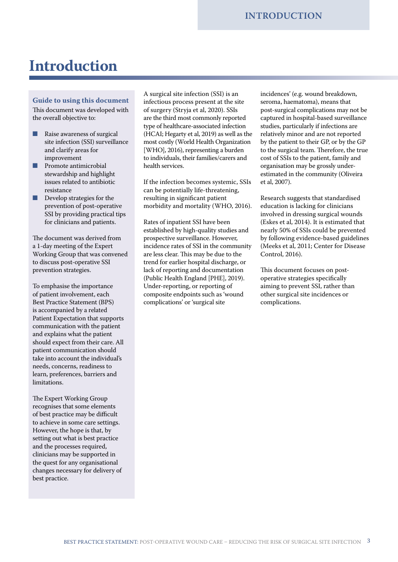## **Introduction**

#### **Guide to using this document**

This document was developed with the overall objective to:

- Raise awareness of surgical site infection (SSI) surveillance and clarify areas for improvement
- Promote antimicrobial stewardship and highlight issues related to antibiotic resistance
- Develop strategies for the prevention of post-operative SSI by providing practical tips for clinicians and patients.

The document was derived from a 1-day meeting of the Expert Working Group that was convened to discuss post-operative SSI prevention strategies.

To emphasise the importance of patient involvement, each Best Practice Statement (BPS) is accompanied by a related Patient Expectation that supports communication with the patient and explains what the patient should expect from their care. All patient communication should take into account the individual's needs, concerns, readiness to learn, preferences, barriers and limitations.

The Expert Working Group recognises that some elements of best practice may be difficult to achieve in some care settings. However, the hope is that, by setting out what is best practice and the processes required, clinicians may be supported in the quest for any organisational changes necessary for delivery of best practice.

A surgical site infection (SSI) is an infectious process present at the site of surgery (Stryja et al, 2020). SSIs are the third most commonly reported type of healthcare-associated infection (HCAI; Hegarty et al, 2019) as well as the most costly (World Health Organization [WHO], 2016), representing a burden to individuals, their families/carers and health services.

If the infection becomes systemic, SSIs can be potentially life-threatening, resulting in significant patient morbidity and mortality (WHO, 2016).

Rates of inpatient SSI have been established by high-quality studies and prospective surveillance. However, incidence rates of SSI in the community are less clear. This may be due to the trend for earlier hospital discharge, or lack of reporting and documentation (Public Health England [PHE], 2019). Under-reporting, or reporting of composite endpoints such as 'wound complications' or 'surgical site

incidences' (e.g. wound breakdown, seroma, haematoma), means that post-surgical complications may not be captured in hospital-based surveillance studies, particularly if infections are relatively minor and are not reported by the patient to their GP, or by the GP to the surgical team. Therefore, the true cost of SSIs to the patient, family and organisation may be grossly underestimated in the community (Oliveira et al, 2007).

Research suggests that standardised education is lacking for clinicians involved in dressing surgical wounds (Eskes et al, 2014). It is estimated that nearly 50% of SSIs could be prevented by following evidence-based guidelines (Meeks et al, 2011; Center for Disease Control, 2016).

This document focuses on postoperative strategies specifically aiming to prevent SSI, rather than other surgical site incidences or complications.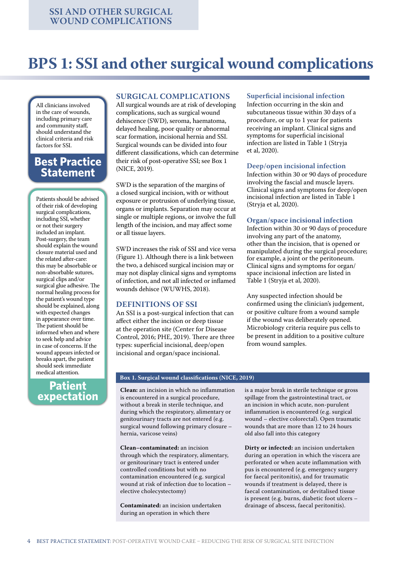## **BPS 1: SSI and other surgical wound complications**

All clinicians involved in the care of wounds, including primary care and community staff, should understand the clinical criteria and risk factors for SSI.

### **Best Practice Statement**

Patients should be advised of their risk of developing surgical complications, including SSI, whether or not their surgery included an implant. Post-surgery, the team should explain the wound closure material used and the related after-care: this may be absorbable or non-absorbable sutures, surgical clips and/or surgical glue adhesive. The normal healing process for the patient's wound type should be explained, along with expected changes in appearance over time. The patient should be informed when and where to seek help and advice in case of concerns. If the wound appears infected or breaks apart, the patient should seek immediate medical attention.

### **Patient expectation**

#### **SURGICAL COMPLICATIONS**

All surgical wounds are at risk of developing complications, such as surgical wound dehiscence (SWD), seroma, haematoma, delayed healing, poor quality or abnormal scar formation, incisional hernia and SSI. Surgical wounds can be divided into four different classifications, which can determine their risk of post-operative SSI; see Box 1 (NICE, 2019).

SWD is the separation of the margins of a closed surgical incision, with or without exposure or protrusion of underlying tissue, organs or implants. Separation may occur at single or multiple regions, or involve the full length of the incision, and may affect some or all tissue layers.

SWD increases the risk of SSI and vice versa (Figure 1). Although there is a link between the two, a dehisced surgical incision may or may not display clinical signs and symptoms of infection, and not all infected or inflamed wounds dehisce (WUWHS, 2018).

#### **DEFINITIONS OF SSI**

An SSI is a post-surgical infection that can affect either the incision or deep tissue at the operation site (Center for Disease Control, 2016; PHE, 2019). There are three types: superficial incisional, deep/open incisional and organ/space incisional.

#### **Superficial incisional infection**

Infection occurring in the skin and subcutaneous tissue within 30 days of a procedure, or up to 1 year for patients receiving an implant. Clinical signs and symptoms for superficial incisional infection are listed in Table 1 (Stryja et al, 2020).

#### **Deep/open incisional infection**

Infection within 30 or 90 days of procedure involving the fascial and muscle layers. Clinical signs and symptoms for deep/open incisional infection are listed in Table 1 (Stryja et al, 2020).

#### **Organ/space incisional infection**

Infection within 30 or 90 days of procedure involving any part of the anatomy, other than the incision, that is opened or manipulated during the surgical procedure; for example, a joint or the peritoneum. Clinical signs and symptoms for organ/ space incisional infection are listed in Table 1 (Stryja et al, 2020).

Any suspected infection should be confirmed using the clinician's judgement, or positive culture from a wound sample if the wound was deliberately opened. Microbiology criteria require pus cells to be present in addition to a positive culture from wound samples.

#### **Box 1. Surgical wound classifications (NICE, 2019)**

**Clean:** an incision in which no inflammation is encountered in a surgical procedure, without a break in sterile technique, and during which the respiratory, alimentary or genitourinary tracts are not entered (e.g. surgical wound following primary closure – hernia, varicose veins)

**Clean–contaminated:** an incision through which the respiratory, alimentary, or genitourinary tract is entered under controlled conditions but with no contamination encountered (e.g. surgical wound at risk of infection due to location – elective cholecystectomy)

**Contaminated:** an incision undertaken during an operation in which there

is a major break in sterile technique or gross spillage from the gastrointestinal tract, or an incision in which acute, non-purulent inflammation is encountered (e.g. surgical wound – elective colorectal). Open traumatic wounds that are more than 12 to 24 hours old also fall into this category

**Dirty or infected:** an incision undertaken during an operation in which the viscera are perforated or when acute inflammation with pus is encountered (e.g. emergency surgery for faecal peritonitis), and for traumatic wounds if treatment is delayed, there is faecal contamination, or devitalised tissue is present (e.g. burns, diabetic foot ulcers – drainage of abscess, faecal peritonitis).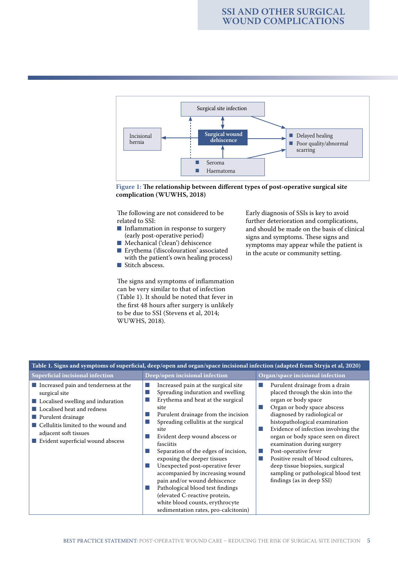



The following are not considered to be related to SSI:

- Inflammation in response to surgery (early post-operative period)
- Mechanical ('clean') dehiscence
- Erythema ('discolouration' associated with the patient's own healing process)
- Stitch abscess.

The signs and symptoms of inflammation can be very similar to that of infection (Table 1). It should be noted that fever in the first 48 hours after surgery is unlikely to be due to SSI (Stevens et al, 2014; WUWHS, 2018).

Early diagnosis of SSIs is key to avoid further deterioration and complications, and should be made on the basis of clinical signs and symptoms. These signs and symptoms may appear while the patient is in the acute or community setting.

| Table 1. Signs and symptoms of superficial, deep/open and organ/space incisional infection (adapted from Stryja et al, 2020)                                                                                                                                      |                                                                                                                                                                                                                                                                                                                                                                                                                                                                                                                                                                                         |                                                                                                                                                                                                                                                                                                                                                                                                                                                                          |  |  |  |  |  |  |
|-------------------------------------------------------------------------------------------------------------------------------------------------------------------------------------------------------------------------------------------------------------------|-----------------------------------------------------------------------------------------------------------------------------------------------------------------------------------------------------------------------------------------------------------------------------------------------------------------------------------------------------------------------------------------------------------------------------------------------------------------------------------------------------------------------------------------------------------------------------------------|--------------------------------------------------------------------------------------------------------------------------------------------------------------------------------------------------------------------------------------------------------------------------------------------------------------------------------------------------------------------------------------------------------------------------------------------------------------------------|--|--|--|--|--|--|
| Superficial incisional infection                                                                                                                                                                                                                                  | Deep/open incisional infection                                                                                                                                                                                                                                                                                                                                                                                                                                                                                                                                                          | Organ/space incisional infection                                                                                                                                                                                                                                                                                                                                                                                                                                         |  |  |  |  |  |  |
| $\blacksquare$ Increased pain and tenderness at the<br>surgical site<br>Localised swelling and induration<br>Localised heat and redness<br>Purulent drainage<br>Cellulitis limited to the wound and<br>adjacent soft tissues<br>Evident superficial wound abscess | Increased pain at the surgical site<br>Spreading induration and swelling<br>Erythema and heat at the surgical<br>site<br>Purulent drainage from the incision<br>Spreading cellulitis at the surgical<br>site<br>Evident deep wound abscess or<br>fasciitis<br>Separation of the edges of incision,<br>exposing the deeper tissues<br>Unexpected post-operative fever<br>accompanied by increasing wound<br>pain and/or wound dehiscence<br>Pathological blood test findings<br>(elevated C-reactive protein,<br>white blood counts, erythrocyte<br>sedimentation rates, pro-calcitonin) | Purulent drainage from a drain<br>placed through the skin into the<br>organ or body space<br>Organ or body space abscess<br>diagnosed by radiological or<br>histopathological examination<br>Evidence of infection involving the<br>organ or body space seen on direct<br>examination during surgery<br>Post-operative fever<br>Positive result of blood cultures,<br>deep tissue biopsies, surgical<br>sampling or pathological blood test<br>findings (as in deep SSI) |  |  |  |  |  |  |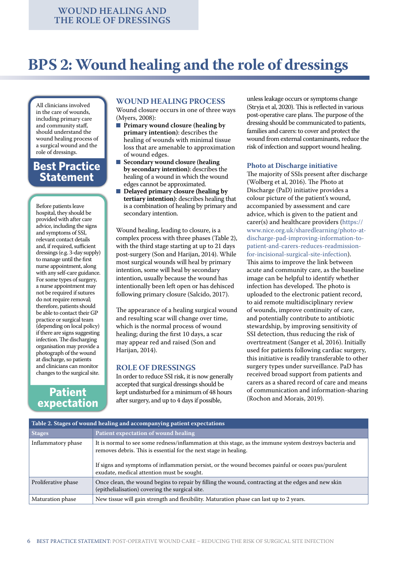## **BPS 2: Wound healing and the role of dressings**

All clinicians involved in the care of wounds, including primary care and community staff, should understand the wound healing process of a surgical wound and the role of dressings.

## **Best Practice Statement**

Before patients leave hospital, they should be provided with after care advice, including the signs and symptoms of SSI, relevant contact details and, if required, sufficient dressings (e.g. 3-day supply) to manage until the first nurse appointment, along with any self-care guidance. For some types of surgery, a nurse appointment may not be required if sutures do not require removal; therefore, patients should be able to contact their GP practice or surgical team (depending on local policy) if there are signs suggesting infection. The discharging organisation may provide a photograph of the wound at discharge, so patients and clinicians can monitor changes to the surgical site.

## **Patient expectation**

#### **WOUND HEALING PROCESS**

Wound closure occurs in one of three ways (Myers, 2008):

- **Primary wound closure (healing by primary intention)**: describes the healing of wounds with minimal tissue loss that are amenable to approximation of wound edges.
- **Secondary wound closure (healing by secondary intention)**: describes the healing of a wound in which the wound edges cannot be approximated.
- **Delayed primary closure (healing by tertiary intention)**: describes healing that is a combination of healing by primary and secondary intention.

Wound healing, leading to closure, is a complex process with three phases (Table 2), with the third stage starting at up to 21 days post-surgery (Son and Harijan, 2014). While most surgical wounds will heal by primary intention, some will heal by secondary intention, usually because the wound has intentionally been left open or has dehisced following primary closure (Salcido, 2017).

The appearance of a healing surgical wound and resulting scar will change over time, which is the normal process of wound healing; during the first 10 days, a scar may appear red and raised (Son and Harijan, 2014).

#### **ROLE OF DRESSINGS**

In order to reduce SSI risk, it is now generally accepted that surgical dressings should be kept undisturbed for a minimum of 48 hours after surgery, and up to 4 days if possible,

unless leakage occurs or symptoms change (Stryja et al, 2020). This is reflected in various post-operative care plans. The purpose of the dressing should be communicated to patients, families and carers: to cover and protect the wound from external contaminants, reduce the risk of infection and support wound healing.

#### **Photo at Discharge initiative**

The majority of SSIs present after discharge (Wolberg et al, 2016). The Photo at Discharge (PaD) initiative provides a colour picture of the patient's wound, accompanied by assessment and care advice, which is given to the patient and carer(s) and healthcare providers (https:// www.nice.org.uk/sharedlearning/photo-atdischarge-pad-improving-information-topatient-and-carers-reduces-readmissionfor-incisional-surgical-site-infection). This aims to improve the link between acute and community care, as the baseline image can be helpful to identify whether infection has developed. The photo is uploaded to the electronic patient record, to aid remote multidisciplinary review of wounds, improve continuity of care, and potentially contribute to antibiotic stewardship, by improving sensitivity of SSI detection, thus reducing the risk of overtreatment (Sanger et al, 2016). Initially used for patients following cardiac surgery, this initiative is readily transferable to other surgery types under surveillance. PaD has received broad support from patients and carers as a shared record of care and means of communication and information-sharing (Rochon and Morais, 2019).

| Table 2. Stages of wound healing and accompanying patient expectations |                                                                                                                                                                                                                                                                                                                                |  |  |  |
|------------------------------------------------------------------------|--------------------------------------------------------------------------------------------------------------------------------------------------------------------------------------------------------------------------------------------------------------------------------------------------------------------------------|--|--|--|
| <b>Stages</b>                                                          | Patient expectation of wound healing                                                                                                                                                                                                                                                                                           |  |  |  |
| Inflammatory phase                                                     | It is normal to see some redness/inflammation at this stage, as the immune system destroys bacteria and<br>removes debris. This is essential for the next stage in healing.<br>If signs and symptoms of inflammation persist, or the wound becomes painful or oozes pus/purulent<br>exudate, medical attention must be sought. |  |  |  |
| Proliferative phase                                                    | Once clean, the wound begins to repair by filling the wound, contracting at the edges and new skin<br>(epithelialisation) covering the surgical site.                                                                                                                                                                          |  |  |  |
| Maturation phase                                                       | New tissue will gain strength and flexibility. Maturation phase can last up to 2 years.                                                                                                                                                                                                                                        |  |  |  |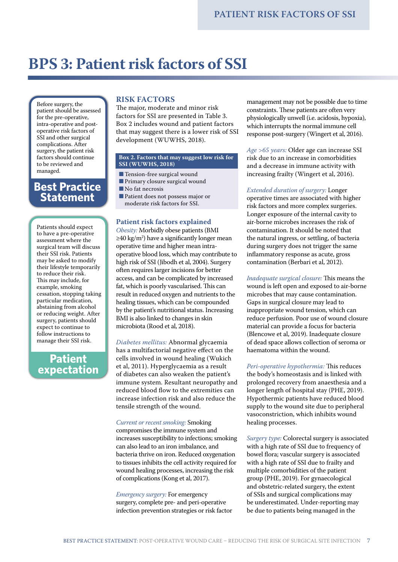## **BPS 3: Patient risk factors of SSI**

Before surgery, the patient should be assessed for the pre-operative, intra-operative and postoperative risk factors of SSI and other surgical complications. After surgery, the patient risk factors should continue to be reviewed and managed.

### **Best Practice Statement**

Patients should expect to have a pre-operative assessment where the surgical team will discuss their SSI risk. Patients may be asked to modify their lifestyle temporarily to reduce their risk. This may include, for example, smoking cessation, stopping taking particular medication, abstaining from alcohol or reducing weight. After surgery, patients should expect to continue to follow instructions to manage their SSI risk.

## **Patient expectation**

#### **RISK FACTORS**

The major, moderate and minor risk factors for SSI are presented in Table 3. Box 2 includes wound and patient factors that may suggest there is a lower risk of SSI development (WUWHS, 2018).

#### **Box 2. Factors that may suggest low risk for SSI (WUWHS, 2018)**

- Tension-free surgical wound
- Primary closure surgical wound
- No fat necrosis
- Patient does not possess major or moderate risk factors for SSI.

#### **Patient risk factors explained**

*Obesity:* Morbidly obese patients (BMI ≥40 kg/m2 ) have a significantly longer mean operative time and higher mean intraoperative blood loss, which may contribute to high risk of SSI (Jibodh et al, 2004). Surgery often requires larger incisions for better access, and can be complicated by increased fat, which is poorly vascularised. This can result in reduced oxygen and nutrients to the healing tissues, which can be compounded by the patient's nutritional status. Increasing BMI is also linked to changes in skin microbiota (Rood et al, 2018).

*Diabetes mellitus:* Abnormal glycaemia has a multifactorial negative effect on the cells involved in wound healing (Wukich et al, 2011). Hyperglycaemia as a result of diabetes can also weaken the patient's immune system. Resultant neuropathy and reduced blood flow to the extremities can increase infection risk and also reduce the tensile strength of the wound.

*Current or recent smoking:* Smoking

compromises the immune system and increases susceptibility to infections; smoking can also lead to an iron imbalance, and bacteria thrive on iron. Reduced oxygenation to tissues inhibits the cell activity required for wound healing processes, increasing the risk of complications (Kong et al, 2017).

*Emergency surgery:* For emergency surgery, complete pre- and peri-operative infection prevention strategies or risk factor management may not be possible due to time constraints. These patients are often very physiologically unwell (i.e. acidosis, hypoxia), which interrupts the normal immune cell response post-surgery (Wingert et al, 2016).

*Age >65 years:* Older age can increase SSI risk due to an increase in comorbidities and a decrease in immune activity with increasing frailty (Wingert et al, 2016).

*Extended duration of surgery:* Longer

operative times are associated with higher risk factors and more complex surgeries. Longer exposure of the internal cavity to air-borne microbes increases the risk of contamination. It should be noted that the natural ingress, or settling, of bacteria during surgery does not trigger the same inflammatory response as acute, gross contamination (Berbari et al, 2012).

*Inadequate surgical closure:* This means the wound is left open and exposed to air-borne microbes that may cause contamination. Gaps in surgical closure may lead to inappropriate wound tension, which can reduce perfusion. Poor use of wound closure material can provide a focus for bacteria (Blencowe et al, 2019). Inadequate closure of dead space allows collection of seroma or haematoma within the wound.

*Peri-operative hypothermia:* This reduces the body's homeostasis and is linked with prolonged recovery from anaesthesia and a longer length of hospital stay (PHE, 2019). Hypothermic patients have reduced blood supply to the wound site due to peripheral vasoconstriction, which inhibits wound healing processes.

*Surgery type:* Colorectal surgery is associated with a high rate of SSI due to frequency of bowel flora; vascular surgery is associated with a high rate of SSI due to frailty and multiple comorbidities of the patient group (PHE, 2019). For gynaecological and obstetric-related surgery, the extent of SSIs and surgical complications may be underestimated. Under-reporting may be due to patients being managed in the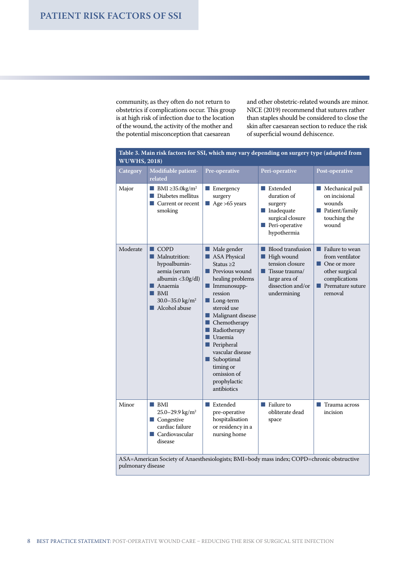community, as they often do not return to obstetrics if complications occur. This group is at high risk of infection due to the location of the wound, the activity of the mother and the potential misconception that caesarean

and other obstetric-related wounds are minor. NICE (2019) recommend that sutures rather than staples should be considered to close the skin after caesarean section to reduce the risk of superficial wound dehiscence.

| Table 3. Main risk factors for SSI, which may vary depending on surgery type (adapted from<br><b>WUWHS, 2018)</b> |                                                                                                                                                                                           |                                                                                                                                                                                                                                                                                                                                                                             |                                                                                                                                                        |                                                                                                                                                   |  |
|-------------------------------------------------------------------------------------------------------------------|-------------------------------------------------------------------------------------------------------------------------------------------------------------------------------------------|-----------------------------------------------------------------------------------------------------------------------------------------------------------------------------------------------------------------------------------------------------------------------------------------------------------------------------------------------------------------------------|--------------------------------------------------------------------------------------------------------------------------------------------------------|---------------------------------------------------------------------------------------------------------------------------------------------------|--|
| Category                                                                                                          | Modifiable patient-<br>related                                                                                                                                                            | Pre-operative                                                                                                                                                                                                                                                                                                                                                               | Peri-operative                                                                                                                                         | Post-operative                                                                                                                                    |  |
| Major                                                                                                             | <b>BMI</b> $\geq$ 35.0kg/m <sup>2</sup><br>$\blacksquare$ Diabetes mellitus<br>$\blacksquare$ Current or recent<br>smoking                                                                | $\blacksquare$ Emergency<br>surgery<br>Age >65 years                                                                                                                                                                                                                                                                                                                        | <b>■ Extended</b><br>duration of<br>surgery<br>$\blacksquare$ Inadequate<br>surgical closure<br>$\blacksquare$ Peri-operative<br>hypothermia           | Mechanical pull<br>on incisional<br>wounds<br>Patient/family<br>touching the<br>wound                                                             |  |
| Moderate                                                                                                          | $\blacksquare$ COPD<br>Malnutrition:<br>hypoalbumin-<br>aemia (serum<br>albumin <3.0g/dl)<br>$\blacksquare$ Anaemia<br>$\blacksquare$ BMI<br>30.0-35.0 kg/m <sup>2</sup><br>Alcohol abuse | Male gender<br>ASA Physical<br>Status $\geq 2$<br><b>Previous wound</b><br>healing problems<br>$\blacksquare$ Immunosupp-<br>ression<br>$\blacksquare$ Long-term<br>steroid use<br>Malignant disease<br>Chemotherapy<br>п<br>Radiotherapy<br>п<br>Uraemia<br><b>Peripheral</b><br>vascular disease<br>Suboptimal<br>timing or<br>omission of<br>prophylactic<br>antibiotics | <b>Blood transfusion</b><br><b>High wound</b><br>tension closure<br>$\blacksquare$ Tissue trauma/<br>large area of<br>dissection and/or<br>undermining | Failure to wean<br>from ventilator<br>$\blacksquare$ One or more<br>other surgical<br>complications<br>$\blacksquare$ Premature suture<br>removal |  |
| Minor                                                                                                             | $\blacksquare$ BMI<br>25.0-29.9 kg/m <sup>2</sup><br>$\blacksquare$ Congestive<br>cardiac failure<br>■ Cardiovascular<br>disease                                                          | Extended<br>H.<br>pre-operative<br>hospitalisation<br>or residency in a<br>nursing home                                                                                                                                                                                                                                                                                     | $\blacksquare$ Failure to<br>obliterate dead<br>space                                                                                                  | Trauma across<br>incision                                                                                                                         |  |
| ASA=American Society of Anaesthesiologists; BMI=body mass index; COPD=chronic obstructive<br>pulmonary disease    |                                                                                                                                                                                           |                                                                                                                                                                                                                                                                                                                                                                             |                                                                                                                                                        |                                                                                                                                                   |  |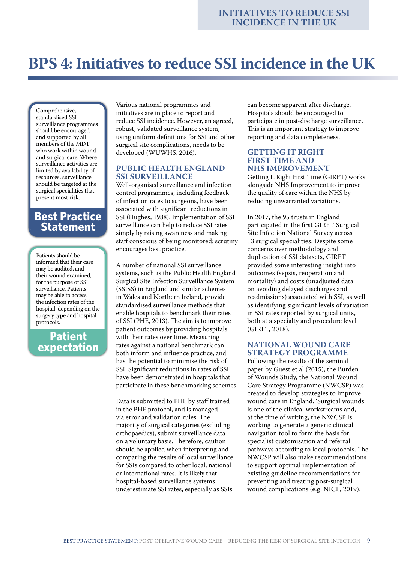## **BPS 4: Initiatives to reduce SSI incidence in the UK**

Comprehensive, standardised SSI surveillance programmes should be encouraged and supported by all members of the MDT who work within wound and surgical care. Where surveillance activities are limited by availability of resources, surveillance should be targeted at the surgical specialities that present most risk.

## **Best Practice Statement**

Patients should be informed that their care may be audited, and their wound examined, for the purpose of SSI surveillance. Patients may be able to access the infection rates of the hospital, depending on the surgery type and hospital protocols.

**Patient expectation**

Various national programmes and initiatives are in place to report and reduce SSI incidence. However, an agreed, robust, validated surveillance system, using uniform definitions for SSI and other surgical site complications, needs to be developed (WUWHS, 2016).

#### **PUBLIC HEALTH ENGLAND SSI SURVEILLANCE**

Well-organised surveillance and infection control programmes, including feedback of infection rates to surgeons, have been associated with significant reductions in SSI (Hughes, 1988). Implementation of SSI surveillance can help to reduce SSI rates simply by raising awareness and making staff conscious of being monitored: scrutiny encourages best practice.

A number of national SSI surveillance systems, such as the Public Health England Surgical Site Infection Surveillance System (SSISS) in England and similar schemes in Wales and Northern Ireland, provide standardised surveillance methods that enable hospitals to benchmark their rates of SSI (PHE, 2013). The aim is to improve patient outcomes by providing hospitals with their rates over time. Measuring rates against a national benchmark can both inform and influence practice, and has the potential to minimise the risk of SSI. Significant reductions in rates of SSI have been demonstrated in hospitals that participate in these benchmarking schemes.

Data is submitted to PHE by staff trained in the PHE protocol, and is managed via error and validation rules. The majority of surgical categories (excluding orthopaedics), submit surveillance data on a voluntary basis. Therefore, caution should be applied when interpreting and comparing the results of local surveillance for SSIs compared to other local, national or international rates. It is likely that hospital-based surveillance systems underestimate SSI rates, especially as SSIs

can become apparent after discharge. Hospitals should be encouraged to participate in post-discharge surveillance. This is an important strategy to improve reporting and data completeness.

#### **GETTING IT RIGHT FIRST TIME AND NHS IMPROVEMENT**

Getting It Right First Time (GIRFT) works alongside NHS Improvement to improve the quality of care within the NHS by reducing unwarranted variations.

In 2017, the 95 trusts in England participated in the first GIRFT Surgical Site Infection National Survey across 13 surgical specialities. Despite some concerns over methodology and duplication of SSI datasets, GIRFT provided some interesting insight into outcomes (sepsis, reoperation and mortality) and costs (unadjusted data on avoiding delayed discharges and readmissions) associated with SSI, as well as identifying significant levels of variation in SSI rates reported by surgical units, both at a specialty and procedure level (GIRFT, 2018).

#### **NATIONAL WOUND CARE STRATEGY PROGRAMME**

Following the results of the seminal paper by Guest et al (2015), the Burden of Wounds Study, the National Wound Care Strategy Programme (NWCSP) was created to develop strategies to improve wound care in England. 'Surgical wounds' is one of the clinical workstreams and, at the time of writing, the NWCSP is working to generate a generic clinical navigation tool to form the basis for specialist customisation and referral pathways according to local protocols. The NWCSP will also make recommendations to support optimal implementation of existing guideline recommendations for preventing and treating post-surgical wound complications (e.g. NICE, 2019).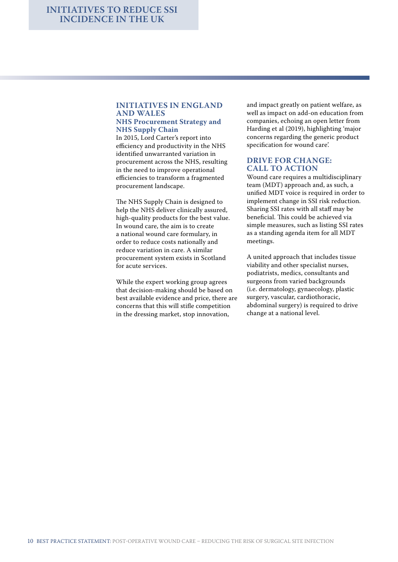#### **INITIATIVES IN ENGLAND AND WALES NHS Procurement Strategy and NHS Supply Chain**

In 2015, Lord Carter's report into efficiency and productivity in the NHS identified unwarranted variation in procurement across the NHS, resulting in the need to improve operational efficiencies to transform a fragmented procurement landscape.

The NHS Supply Chain is designed to help the NHS deliver clinically assured, high-quality products for the best value. In wound care, the aim is to create a national wound care formulary, in order to reduce costs nationally and reduce variation in care. A similar procurement system exists in Scotland for acute services.

While the expert working group agrees that decision-making should be based on best available evidence and price, there are concerns that this will stifle competition in the dressing market, stop innovation,

and impact greatly on patient welfare, as well as impact on add-on education from companies, echoing an open letter from Harding et al (2019), highlighting 'major concerns regarding the generic product specification for wound care'.

#### **DRIVE FOR CHANGE: CALL TO ACTION**

Wound care requires a multidisciplinary team (MDT) approach and, as such, a unified MDT voice is required in order to implement change in SSI risk reduction. Sharing SSI rates with all staff may be beneficial. This could be achieved via simple measures, such as listing SSI rates as a standing agenda item for all MDT meetings.

A united approach that includes tissue viability and other specialist nurses, podiatrists, medics, consultants and surgeons from varied backgrounds (i.e. dermatology, gynaecology, plastic surgery, vascular, cardiothoracic, abdominal surgery) is required to drive change at a national level.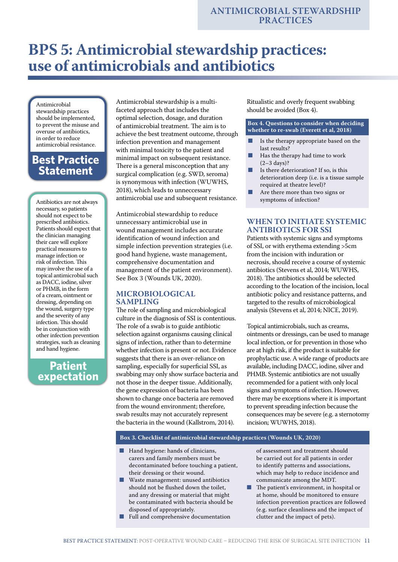## **BPS 5: Antimicrobial stewardship practices: use of antimicrobials and antibiotics**

Antimicrobial stewardship practices should be implemented, to prevent the misuse and overuse of antibiotics, in order to reduce antimicrobial resistance.

## **Best Practice Statement**

Antibiotics are not always necessary, so patients should not expect to be prescribed antibiotics. Patients should expect that the clinician managing their care will explore practical measures to manage infection or risk of infection. This may involve the use of a topical antimicrobial such as DACC, iodine, silver or PHMB, in the form of a cream, ointment or dressing, depending on the wound, surgery type and the severity of any infection. This should be in conjunction with other infection prevention strategies, such as cleaning and hand hygiene.

## **Patient expectation**

Antimicrobial stewardship is a multifaceted approach that includes the optimal selection, dosage, and duration of antimicrobial treatment. The aim is to achieve the best treatment outcome, through infection prevention and management with minimal toxicity to the patient and minimal impact on subsequent resistance. There is a general misconception that any surgical complication (e.g. SWD, seroma) is synonymous with infection (WUWHS, 2018), which leads to unneccessary antimicrobial use and subsequent resistance.

Antimicrobial stewardship to reduce unnecessary antimicrobial use in wound management includes accurate identification of wound infection and simple infection prevention strategies (i.e. good hand hygiene, waste management, comprehensive documentation and management of the patient environment). See Box 3 (Wounds UK, 2020).

#### **MICROBIOLOGICAL SAMPLING**

The role of sampling and microbiological culture in the diagnosis of SSI is contentious. The role of a swab is to guide antibiotic selection against organisms causing clinical signs of infection, rather than to determine whether infection is present or not. Evidence suggests that there is an over-reliance on sampling, especially for superficial SSI, as swabbing may only show surface bacteria and not those in the deeper tissue. Additionally, the gene expression of bacteria has been shown to change once bacteria are removed from the wound environment; therefore, swab results may not accurately represent the bacteria in the wound (Kallstrom, 2014).

Ritualistic and overly frequent swabbing should be avoided (Box 4).

#### **Box 4. Questions to consider when deciding whether to re-swab (Everett et al, 2018)**

- Is the therapy appropriate based on the last results?
- Has the therapy had time to work (2–3 days)?
- Is there deterioration? If so, is this deterioration deep (i.e. is a tissue sample required at theatre level)?
- Are there more than two signs or symptoms of infection?

#### **WHEN TO INITIATE SYSTEMIC ANTIBIOTICS FOR SSI**

Patients with systemic signs and symptoms of SSI, or with erythema extending >5cm from the incision with induration or necrosis, should receive a course of systemic antibiotics (Stevens et al, 2014; WUWHS, 2018). The antibiotics should be selected according to the location of the incision, local antibiotic policy and resistance patterns, and targeted to the results of microbiological analysis (Stevens et al, 2014; NICE, 2019).

Topical antimicrobials, such as creams, ointments or dressings, can be used to manage local infection, or for prevention in those who are at high risk, if the product is suitable for prophylactic use. A wide range of products are available, including DACC, iodine, silver and PHMB. Systemic antibiotics are not usually recommended for a patient with only local signs and symptoms of infection. However, there may be exceptions where it is important to prevent spreading infection because the consequences may be severe (e.g. a sternotomy incision; WUWHS, 2018).

**Box 3. Checklist of antimicrobial stewardship practices (Wounds UK, 2020)**

- Hand hygiene: hands of clinicians, carers and family members must be decontaminated before touching a patient, their dressing or their wound.
- Waste management: unused antibiotics should not be flushed down the toilet, and any dressing or material that might be contaminated with bacteria should be disposed of appropriately.
- Full and comprehensive documentation

of assessment and treatment should be carried out for all patients in order to identify patterns and associations, which may help to reduce incidence and communicate among the MDT.

The patient's environment, in hospital or at home, should be monitored to ensure infection prevention practices are followed (e.g. surface cleanliness and the impact of clutter and the impact of pets).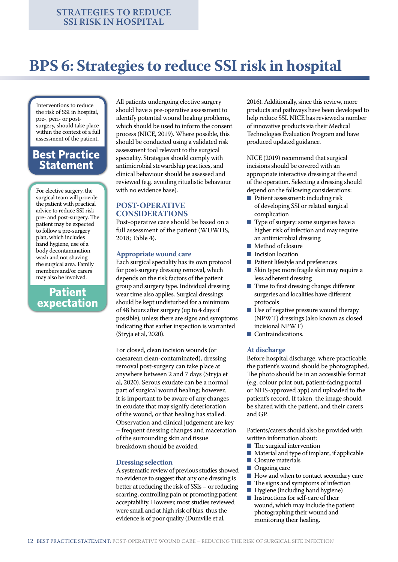## **BPS 6: Strategies to reduce SSI risk in hospital**

Interventions to reduce the risk of SSI in hospital, pre-, peri- or postsurgery, should take place within the context of a full assessment of the patient.

## **Best Practice Statement**

For elective surgery, the surgical team will provide the patient with practical advice to reduce SSI risk pre- and post-surgery. The patient may be expected to follow a pre-surgery plan, which includes hand hygiene, use of a body decontamination wash and not shaving the surgical area. Family members and/or carers may also be involved.

## **Patient expectation**

All patients undergoing elective surgery should have a pre-operative assessment to identify potential wound healing problems, which should be used to inform the consent process (NICE, 2019). Where possible, this should be conducted using a validated risk assessment tool relevant to the surgical speciality. Strategies should comply with antimicrobial stewardship practices, and clinical behaviour should be assessed and reviewed (e.g. avoiding ritualistic behaviour with no evidence base).

#### **POST-OPERATIVE CONSIDERATIONS**

Post-operative care should be based on a full assessment of the patient (WUWHS, 2018; Table 4).

#### **Appropriate wound care**

Each surgical speciality has its own protocol for post-surgery dressing removal, which depends on the risk factors of the patient group and surgery type. Individual dressing wear time also applies. Surgical dressings should be kept undisturbed for a minimum of 48 hours after surgery (up to 4 days if possible), unless there are signs and symptoms indicating that earlier inspection is warranted (Stryja et al, 2020).

For closed, clean incision wounds (or caesarean clean-contaminated), dressing removal post-surgery can take place at anywhere between 2 and 7 days (Stryja et al, 2020). Serous exudate can be a normal part of surgical wound healing; however, it is important to be aware of any changes in exudate that may signify deterioration of the wound, or that healing has stalled. Observation and clinical judgement are key – frequent dressing changes and maceration of the surrounding skin and tissue breakdown should be avoided.

#### **Dressing selection**

A systematic review of previous studies showed no evidence to suggest that any one dressing is better at reducing the risk of SSIs – or reducing scarring, controlling pain or promoting patient acceptability. However, most studies reviewed were small and at high risk of bias, thus the evidence is of poor quality (Dumville et al,

2016). Additionally, since this review, more products and pathways have been developed to help reduce SSI. NICE has reviewed a number of innovative products via their Medical Technologies Evaluation Program and have produced updated guidance.

NICE (2019) recommend that surgical incisions should be covered with an appropriate interactive dressing at the end of the operation. Selecting a dressing should depend on the following considerations:

- Patient assessment: including risk of developing SSI or related surgical complication
- Type of surgery: some surgeries have a higher risk of infection and may require an antimicrobial dressing
- Method of closure
- Incision location
- Patient lifestyle and preferences
- Skin type: more fragile skin may require a less adherent dressing
- Time to first dressing change: different surgeries and localities have different protocols
- Use of negative pressure wound therapy (NPWT) dressings (also known as closed incisional NPWT)
- Contraindications.

#### **At discharge**

Before hospital discharge, where practicable, the patient's wound should be photographed. The photo should be in an accessible format (e.g. colour print out, patient-facing portal or NHS-approved app) and uploaded to the patient's record. If taken, the image should be shared with the patient, and their carers and GP.

Patients/carers should also be provided with written information about:

- The surgical intervention<br>■ Material and type of impl
- Material and type of implant, if applicable<br>■ Closure materials
- Closure materials
- Ongoing care
- How and when to contact secondary care
- The signs and symptoms of infection
- Hygiene (including hand hygiene)
- Instructions for self-care of their wound, which may include the patient photographing their wound and monitoring their healing.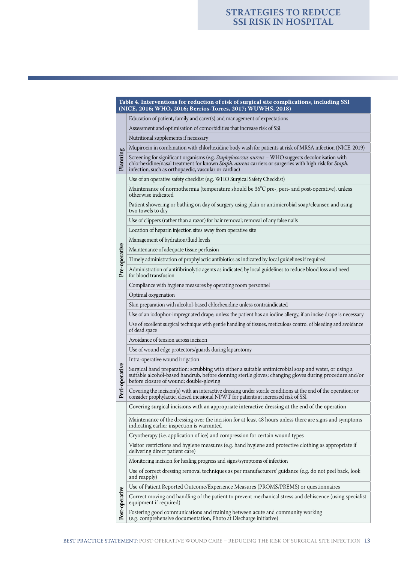#### **Table 4. Interventions for reduction of risk of surgical site complications, including SSI (NICE, 2016; WHO, 2016; Berríos-Torres, 2017; WUWHS, 2018)** Education of patient, family and carer(s) and management of expectations

Assessment and optimisation of comorbidities that increase risk of SSI

Nutritional supplements if necessary

Mupirocin in combination with chlorhexidine body wash for patients at risk of MRSA infection (NICE, 2019)

Screening for significant organisms (e.g. *Staphylococcus aureus* – WHO suggests decolonisation with chlorhexidine/nasal treatment for known *Staph. aureus* carriers or surgeries with high risk for *Staph.*  infection, such as orthopaedic, vascular or cardiac)

Use of an operative safety checklist (e.g. WHO Surgical Safety Checklist)

Maintenance of normothermia (temperature should be 36ºC pre-, peri- and post-operative), unless otherwise indicated

Patient showering or bathing on day of surgery using plain or antimicrobial soap/cleanser, and using two towels to dry

Use of clippers (rather than a razor) for hair removal; removal of any false nails

Location of heparin injection sites away from operative site

Management of hydration/fluid levels

Pre-operative **Pre-operative** Maintenance of adequate tissue perfusion

Timely administration of prophylactic antibiotics as indicated by local guidelines if required

Administration of antifibrinolytic agents as indicated by local guidelines to reduce blood loss and need for blood transfusion

Compliance with hygiene measures by operating room personnel

Optimal oxygenation

**Planning**

**Peri-operative**

Peri

operative

Skin preparation with alcohol-based chlorhexidine unless contraindicated

Use of an iodophor-impregnated drape, unless the patient has an iodine allergy, if an incise drape is necessary

Use of excellent surgical technique with gentle handling of tissues, meticulous control of bleeding and avoidance of dead space

Avoidance of tension across incision

Use of wound edge protectors/guards during laparotomy

Intra-operative wound irrigation

Surgical hand preparation: scrubbing with either a suitable antimicrobial soap and water, or using a suitable alcohol-based handrub, before donning sterile gloves; changing gloves during procedure and/or before closure of wound; double-gloving

Covering the incision(s) with an interactive dressing under sterile conditions at the end of the operation; or consider prophylactic, closed incisional NPWT for patients at increased risk of SSI

Covering surgical incisions with an appropriate interactive dressing at the end of the operation

Maintenance of the dressing over the incision for at least 48 hours unless there are signs and symptoms indicating earlier inspection is warranted

Cryotherapy (i.e. application of ice) and compression for certain wound types

Visitor restrictions and hygiene measures (e.g. hand hygiene and protective clothing as appropriate if delivering direct patient care)

Monitoring incision for healing progress and signs/symptoms of infection

Use of correct dressing removal techniques as per manufacturers' guidance (e.g. do not peel back, look and reapply)

Use of Patient Reported Outcome/Experience Measures (PROMS/PREMS) or questionnaires

Correct moving and handling of the patient to prevent mechanical stress and dehiscence (using specialist equipment if required)

Post-operative **Post-operative** Fostering good communications and training between acute and community working (e.g. comprehensive documentation, Photo at Discharge initiative)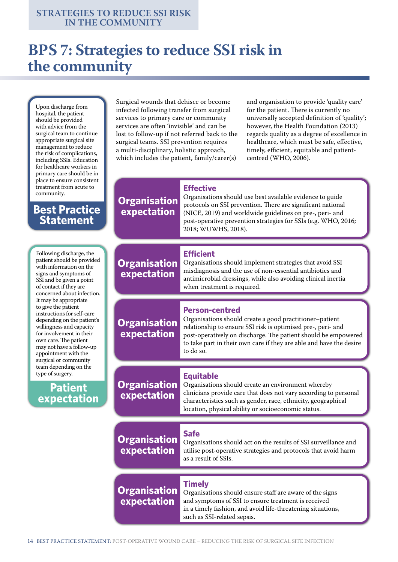## **BPS 7: Strategies to reduce SSI risk in the community**

**Organisation expectation**

Upon discharge from hospital, the patient should be provided with advice from the surgical team to continue appropriate surgical site management to reduce the risk of complications, including SSIs. Education for healthcare workers in primary care should be in place to ensure consistent treatment from acute to community.

### **Best Practice Statement**

Following discharge, the patient should be provided with information on the signs and symptoms of SSI and be given a point of contact if they are concerned about infection. It may be appropriate to give the patient instructions for self-care depending on the patient's willingness and capacity for involvement in their own care. The patient may not have a follow-up appointment with the surgical or community team depending on the type of surgery.

**Patient expectation**

Surgical wounds that dehisce or become infected following transfer from surgical services to primary care or community services are often 'invisible' and can be lost to follow-up if not referred back to the surgical teams. SSI prevention requires a multi-disciplinary, holistic approach, which includes the patient, family/carer(s)

and organisation to provide 'quality care' for the patient. There is currently no universally accepted definition of 'quality'; however, the Health Foundation (2013) regards quality as a degree of excellence in healthcare, which must be safe, effective, timely, efficient, equitable and patientcentred (WHO, 2006).

### **Effective**

Organisations should use best available evidence to guide protocols on SSI prevention. There are significant national (NICE, 2019) and worldwide guidelines on pre-, peri- and post-operative prevention strategies for SSIs (e.g. WHO, 2016; 2018; WUWHS, 2018).

#### **Organisation expectation Efficient** Organisations should implement strategies that avoid SSI misdiagnosis and the use of non-essential antibiotics and antimicrobial dressings, while also avoiding clinical inertia when treatment is required. **Organisation expectation Person-centred** Organisations should create a good practitioner–patient relationship to ensure SSI risk is optimised pre-, peri- and post-operatively on discharge. The patient should be empowered to take part in their own care if they are able and have the desire to do so. **Organisation expectation Timely** Organisations should ensure staff are aware of the signs and symptoms of SSI to ensure treatment is received in a timely fashion, and avoid life-threatening situations, **Organisation expectation Organisation expectation Equitable** Organisations should create an environment whereby clinicians provide care that does not vary according to personal characteristics such as gender, race, ethnicity, geographical location, physical ability or socioeconomic status. **Safe** Organisations should act on the results of SSI surveillance and utilise post-operative strategies and protocols that avoid harm as a result of SSIs.

such as SSI-related sepsis.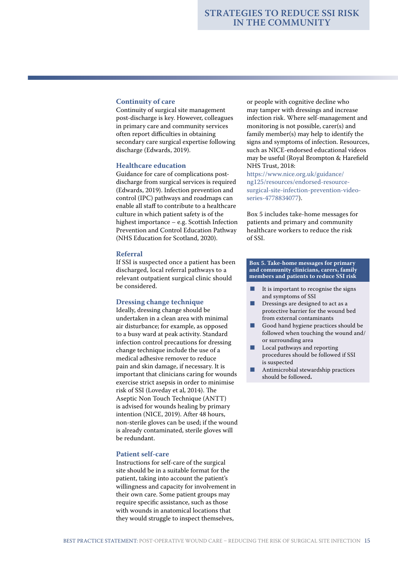#### **Continuity of care**

Continuity of surgical site management post-discharge is key. However, colleagues in primary care and community services often report difficulties in obtaining secondary care surgical expertise following discharge (Edwards, 2019).

#### **Healthcare education**

Guidance for care of complications postdischarge from surgical services is required (Edwards, 2019). Infection prevention and control (IPC) pathways and roadmaps can enable all staff to contribute to a healthcare culture in which patient safety is of the highest importance – e.g. Scottish Infection Prevention and Control Education Pathway (NHS Education for Scotland, 2020).

#### **Referral**

If SSI is suspected once a patient has been discharged, local referral pathways to a relevant outpatient surgical clinic should be considered.

#### **Dressing change technique**

Ideally, dressing change should be undertaken in a clean area with minimal air disturbance; for example, as opposed to a busy ward at peak activity. Standard infection control precautions for dressing change technique include the use of a medical adhesive remover to reduce pain and skin damage, if necessary. It is important that clinicians caring for wounds exercise strict asepsis in order to minimise risk of SSI (Loveday et al, 2014). The Aseptic Non Touch Technique (ANTT) is advised for wounds healing by primary intention (NICE, 2019). After 48 hours, non-sterile gloves can be used; if the wound is already contaminated, sterile gloves will be redundant.

#### **Patient self-care**

Instructions for self-care of the surgical site should be in a suitable format for the patient, taking into account the patient's willingness and capacity for involvement in their own care. Some patient groups may require specific assistance, such as those with wounds in anatomical locations that they would struggle to inspect themselves,

or people with cognitive decline who may tamper with dressings and increase infection risk. Where self-management and monitoring is not possible, carer(s) and family member(s) may help to identify the signs and symptoms of infection. Resources, such as NICE-endorsed educational videos may be useful (Royal Brompton & Harefield NHS Trust, 2018:

https://www.nice.org.uk/guidance/ ng125/resources/endorsed-resourcesurgical-site-infection-prevention-videoseries-4778834077).

Box 5 includes take-home messages for patients and primary and community healthcare workers to reduce the risk of SSI.

**Box 5. Take-home messages for primary and community clinicians, carers, family members and patients to reduce SSI risk**

- It is important to recognise the signs and symptoms of SSI
- Dressings are designed to act as a protective barrier for the wound bed from external contaminants
- Good hand hygiene practices should be followed when touching the wound and/ or surrounding area
- Local pathways and reporting procedures should be followed if SSI is suspected
- Antimicrobial stewardship practices should be followed**.**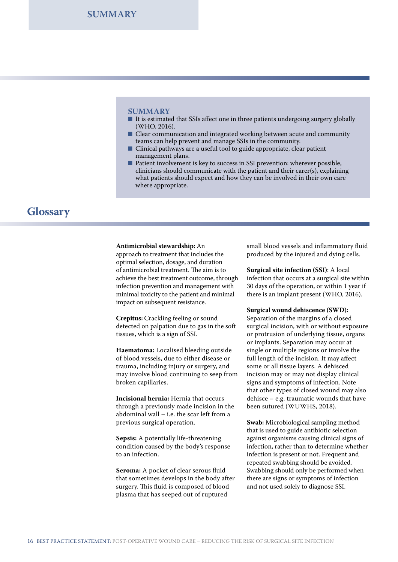**SUMMARY**

#### **SUMMARY**

- It is estimated that SSIs affect one in three patients undergoing surgery globally (WHO, 2016).
- Clear communication and integrated working between acute and community teams can help prevent and manage SSIs in the community.
- Clinical pathways are a useful tool to guide appropriate, clear patient management plans.
- Patient involvement is key to success in SSI prevention: wherever possible, clinicians should communicate with the patient and their carer(s), explaining what patients should expect and how they can be involved in their own care where appropriate.

### **Glossary**

#### **Antimicrobial stewardship:** An

approach to treatment that includes the optimal selection, dosage, and duration of antimicrobial treatment. The aim is to achieve the best treatment outcome, through infection prevention and management with minimal toxicity to the patient and minimal impact on subsequent resistance.

**Crepitus:** Crackling feeling or sound detected on palpation due to gas in the soft tissues, which is a sign of SSI.

**Haematoma:** Localised bleeding outside of blood vessels, due to either disease or trauma, including injury or surgery, and may involve blood continuing to seep from broken capillaries.

**Incisional hernia:** Hernia that occurs through a previously made incision in the abdominal wall – i.e. the scar left from a previous surgical operation.

**Sepsis:** A potentially life-threatening condition caused by the body's response to an infection.

**Seroma:** A pocket of clear serous fluid that sometimes develops in the body after surgery. This fluid is composed of blood plasma that has seeped out of ruptured

small blood vessels and inflammatory fluid produced by the injured and dying cells.

**Surgical site infection (SSI)**: A local infection that occurs at a surgical site within 30 days of the operation, or within 1 year if there is an implant present (WHO, 2016).

#### **Surgical wound dehiscence (SWD):**

Separation of the margins of a closed surgical incision, with or without exposure or protrusion of underlying tissue, organs or implants. Separation may occur at single or multiple regions or involve the full length of the incision. It may affect some or all tissue layers. A dehisced incision may or may not display clinical signs and symptoms of infection. Note that other types of closed wound may also dehisce – e.g. traumatic wounds that have been sutured (WUWHS, 2018).

**Swab:** Microbiological sampling method that is used to guide antibiotic selection against organisms causing clinical signs of infection, rather than to determine whether infection is present or not. Frequent and repeated swabbing should be avoided. Swabbing should only be performed when there are signs or symptoms of infection and not used solely to diagnose SSI.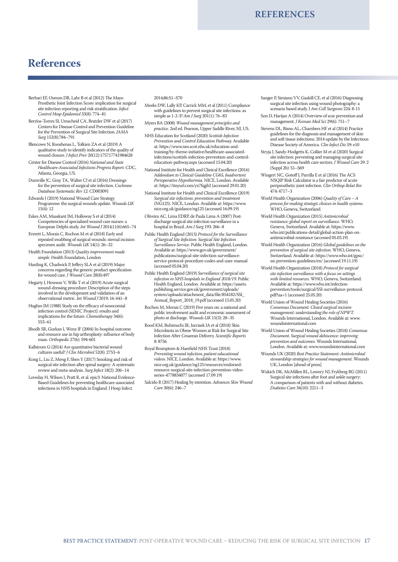## **References**

- Berbari EF, Osmon DR, Lahr B et al (2012) The Mayo Prosthetic Joint Infection Score: implication for surgical site infection reporting and risk stratification. *Infect Control Hosp Epidemiol* 33(8): 774–81
- Berríos-Torres SI, Umscheid CA, Bratzler DW et al (2017) Centers for Disease Control and Prevention Guideline for the Prevention of Surgical Site Infection. *JAMA Surg* 152(8):784–791
- Blencowe N, Rooshenas L, Tolkien ZA et al (2019) A qualitative study to identify indicators of the quality of wound closure. *J Infect Prev* 20(12):175717741984628
- Center for Disease Control (2016) *National and State Healthcare-Associated Infections Progress Report.* CDC, Atlanta, Georgia, US.
- Dumville JC, Gray TA, Walter CJ et al (2016) Dressings for the prevention of surgical site infection. *Cochrane Database Systematic Rev* 12: CD003091
- Edwards J (2019) National Wound Care Strategy Programme: the surgical wounds update. *Wounds UK*  $15(4): 12$
- Eskes AM, Maaskant JM, Holloway S et al (2014) Competencies of specialised wound care nurses: a European Delphi study. *Int Wound J* 2014;11(6):665–74
- Everett L, Morais C, Rochon M et al (2018) Early and repeated swabbing of surgical wounds: sternal incision specimen audit. *Wounds UK* 14(1): 26–32
- Health Foundation (2013) *Quality improvement made simple*. Health Foundation, London
- Harding K, Chadwick P, Jeffery SLA et al (2019) Major concerns regarding the generic product specification for wound care. *J Wound Care* 28(8):497
- Hegarty J, Howson V, Wills T et al (2019) Acute surgical wound-dressing procedure: Description of the steps involved in the development and validation of an observational metric. *Int Wound J* 2019; 16: 641–8
- Hughes JM (1988) Study on the efficacy of nosocomial infection control (SENIC Project): results and implications for the future. *Chemotherapy* 34(6): 553–61
- Jibodh SR, Gurkan I, Wenz JF (2004) In-hospital outcome and resource use in hip arthroplasty: influence of body mass. *Orthopedic* 27(6): 594-601
- Kallstrom G (2014) Are quantitative bacterial wound cultures useful? *J Clin Microbiol* 52(8): 2753–6
- Kong L, Liu Z, Meng F, Shen Y (2017) Smoking and risk of surgical site infection after spinal surgery: A systematic review and meta-analysis. *Surg Infect* 18(2): 206–14
- Loveday H, Wilson J, Pratt R, et al. epic3: National Evidence-Based Guidelines for preventing healthcare-associated infections in NHS hospitals in England. J Hosp Infect.

2014;86:S1–S70

- Meeks DW, Lally KP, Carrick MM, et al (2011) Compliance with guidelines to prevent surgical site infections: as simple as 1-2-3? *Am J Surg* 201(1): 76–83
- Myers BA (2008) *Wound management principles and practice*. 2nd ed. Pearson, Upper Saddle River, NJ, US.
- NHS Education for Scotland (2020) *Scottish Infection Prevention and Control Education Pathway.* Available at: https://www.nes.scot.nhs.uk/education-andtraining/by-theme-initiative/healthcare-associatedinfections/scottish-infection-prevention-and-controleducation-pathway.aspx (accessed 15.04.20)
- National Institute for Health and Clinical Excellence (2016) *Addendum to Clinical Guideline CG65, Inadvertent Perioperative Hypothermia.* NICE, London. Available at: https://tinyurl.com/yx7fqgb2 (accessed 29.01.20)
- National Institute for Health and Clinical Excellence (2019) *Surgical site infections: prevention and treatment* (NG125). NICE, London. Available at: https://www. nice.org.uk/guidance/ng125 (accessed 16.09.19)
- Oliveira AC, Lima EDRP, de Paula Lima A (2007) Postdischarge surgical site infection surveillance in a hospital in Brazil. *Am J Surg* 193: 266–8
- Public Health England (2013) *Protocol for the Surveillance of Surgical Site Infection: Surgical Site Infection Surveillance Service*. Public Health England, London. Available at: https://www.gov.uk/government/ publications/surgical-site-infection-surveillanceservice-protocol-procedure-codes-and-user-manual (accessed 05.04.20)
- Public Health England (2019) *Surveillance of surgical site infection in NHS hospitals in England 2018/19.* Public Health England, London. Available at: https://assets. publishing.service.gov.uk/government/uploads/ system/uploads/attachment\_data/file/854182/SSI Annual\_Report\_2018\_19.pdf (accessed 15.05.20)
- Rochon M, Morais C (2019) Five years on: a national and public involvement audit and economic assessment of photo at discharge. *Wounds UK* 15(3): 28–35
- Rood KM, Buhimschi IR, Jurcisek JA et al (2018) Skin Microbiota in Obese Women at Risk for Surgical Site Infection After Cesarean Delivery. *Scientific Reports* 8: 8756
- Royal Bromptom & Harefield NHS Trust (2018) *Preventing wound infection, patient educational videos*. NICE, London. Available at: https://www. nice.org.uk/guidance/ng125/resources/endorsedresource-surgical-site-infection-prevention-videoseries-4778834077 (accessed 17.09.19)
- Salcido R (2017) Healing by intention. *Advances Skin Wound Care* 30(6): 246–7
- Sanger P, Simianu VV, Gaskill CE, et al (2016) Diagnosing surgical site infection using wound photography: a scenario based study. J *Am Coll Surgeons* 224: 8-15
- Son D, Harijan A (2014) Overview of scar prevention and management. *J Korean Med Sci* 29(6): 751–7
- Stevens DL, Bisno AL, Chambers HF et al (2014) Practice guidelines for the diagnosis and management of skin and soft tissue infections: 2014 update by the Infectious Disease Society of America. *Clin Infect Dis* 59: e10
- Stryja J, Sandy-Hodgetts K, Collier M et al (2020) Surgical site infection: preventing and managing surgical site infection across health care sectors. *J Wound Care* 29: 2 (Suppl 2b): S1–S69
- Wingert NC, Gotoff J, Parrilla E et al (2016) The ACS NSQIP Risk Calculator is a fair predictor of acute periprosthetic joint infection. *Clin Orthop Relat Res*  474: 4717–3
- World Health Organization (2006) *Quality of Care A process for making strategic choices in health systems.*  WHO, Geneva, Switzerland.
- World Health Organization (2015) *Antimicrobial resistance: global report on surveillance.* WHO, Geneva, Switzerland. Available at: https://www. who.int/publications-detail/global-action-plan-onantimicrobial-resistance (accessed 05.03.19)
- World Health Organization (2016) *Global guidelines on the prevention of surgical site infection.* WHO, Geneva, Switzerland. Available at: https://www.who.int/gpsc/ ssi-prevention-guidelines/en/ (accessed 19.11.19)
- World Health Organization (2018) *Protocol for surgical site infection surveillance with a focus on settings with limited resources*. WHO, Geneva, Switzerland. Available at: https://www.who.int/infectionprevention/tools/surgical/SSI-surveillance-protocol. pdf?ua=1 (accessed 25.05.20)
- World Union of Wound Healing Societies (2016) *Consensus Document. Closed surgical incision management: understanding the role of NPWT.*  Wounds International, London. Available at: www. woundsinternational.com
- World Union of Wound Healing Societies (2018) *Consensus Document. Surgical wound dehiscence: improving prevention and outcomes.* Wounds International, London. Available at: www.woundsinternational.com
- Wounds UK (2020) *Best Practice Statement: Antimicrobial stewardship strategies for wound management.* Wounds UK, London [ahead of press]
- Wukich DK, McMillen RL, Lowery NJ, Frykberg RG (2011) Surgical site infections after foot and ankle surgery: A comparison of patients with and without diabetes. *Diabetes Care* 34(10): 2211–3